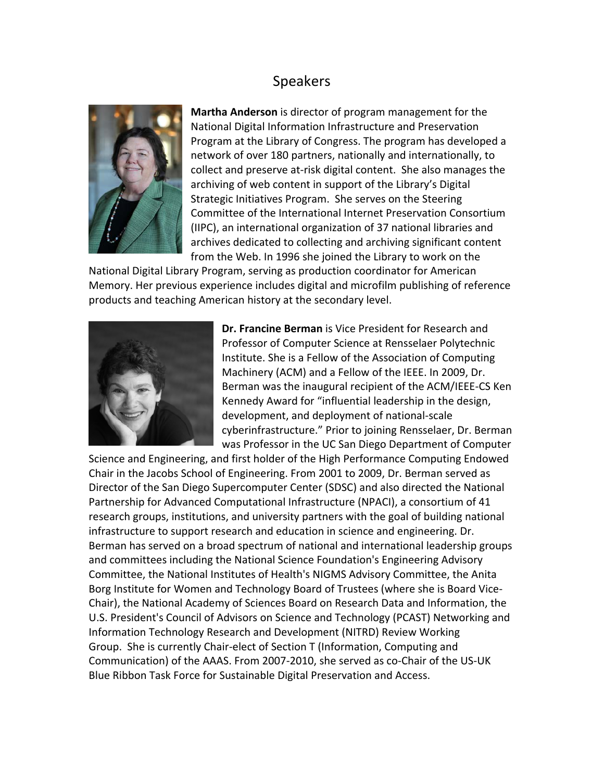## Speakers



**Martha Anderson** is director of program management for the National Digital Information Infrastructure and Preservation Program at the Library of Congress. The program has developed a network of over 180 partners, nationally and internationally, to collect and preserve at‐risk digital content. She also manages the archiving of web content in support of the Library's Digital Strategic Initiatives Program. She serves on the Steering Committee of the International Internet Preservation Con sortium (IIPC), an international organization of 37 national libraries and archives dedicated to collecting and archiving significant content from the Web. In 1996 she joined the Library to work on the

National Digital Library Program, serving as production coordinator for American Memory. Her previous experience includes digital and microfilm publishing of reference products and teaching American history at the secondary level.



**Dr. Francine Berman** is Vice President for Research and Professor of Computer Science at Rensselaer Polytechnic Institute. She is a Fellow of the Association of Computing Machinery (ACM) and a Fellow of the IEEE. In 2009, Dr. Berman was the inaugural recipient of the ACM/IEEE‐CS Ken Kennedy Award for "influential leadership in the design, development, and deployment of national‐scale cyberinfrastructure." Prior to joining Rensselaer, Dr. Berman was Professor in the UC San Diego Department of Computer

Science and Engineering, and first holder of the High Performance Computing Endowed Chair in the Jacobs School of Engineering. From 2001 to 2009, Dr. Berman served as Director of the San Diego Supercomputer Center (SDSC) and also directed the National Partnership for Advanced Computational Infrastructure (NPACI), a consortium of 41 research groups, institutions, and university partners with the goal of building national infrastructure to support research and education in science and engineering. Dr. Berman has served on a broad spectrum of national and international leadership groups and committees including the National Science Foundation's Engineering Advisory Committee, the National Institutes of Health's NIGMS Advisory Committee, the Anita Borg Institute for Women and Technology Board of Trustees (where she is Board Vice‐ Chair), the National Academy of Sciences Board on Research Data and Information, the U.S. President's Council of Advisors on Science and Technology (PCAST) Networking and Information Technology Research and Development (NITRD) Review Working Group. She is currently Chair‐elect of Section T (Information, Computing and Communication) of the AAAS. From 2007‐2010, she served as co‐Chair of the US‐UK Blue Ribbon Task Force for Sustainable Digital Preservation and Access.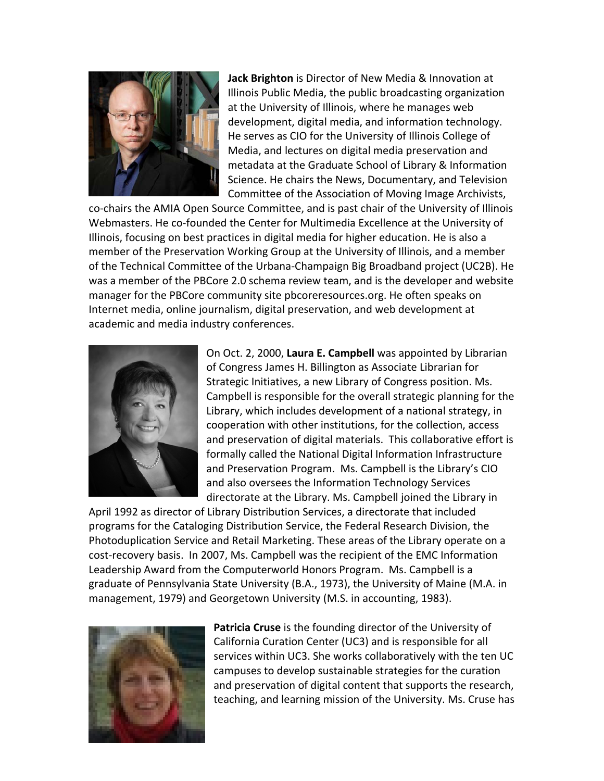

**Jack Brighton** is Director of New Media & Innovation at Illinois Public Media, the public broadcasting organization at the University of Illinois, where he manages web development, digital media, and information technology. He serves as CIO for the University of Illinois College of Media, and lectures on digital media preservation and metadata at the Graduate School of Library & Information Science. He chairs the News, Documentary, and Television Committee of the Association of Moving Image Archivists,

co-chairs the AMIA Open Source Committee, and is past chair of the University of Illinois Webmasters. He co‐founded the Center for Multimedia Excellence at the University of Illinois, focusing on best practices in digital media for higher education. He is also a member of the Preservation Working Group at the University of Illinois, and a member of the Technical Committee of the Urbana‐Champaign Big Broadband project (UC2B). He was a member of the PBCore 2.0 schema review team, and is the developer and website manager for the PBCore community site pbcoreresources.org. He often speaks on Internet media, online journalism, digital preservation, and web development at academic and media industry conferences.



On Oct. 2, 2000, **Laura E. Campbell** was appointed by Librarian of Congress James H. Billington as Associate Librarian for Strategic Initiatives, a new Library of Congress position. Ms. Campbell is responsible for the overall strategic planning for the Library, which includes development of a national strategy, in cooperation with other institutions, for the collection, access and preservation of digital materials. This collaborative effort is formally called the National Digital Information Infrastructure and Preservation Program. Ms. Campbell is the Library's CIO and also oversees the Information Technology Services directorate at the Library. Ms. Campbell joined the Library in

April 1992 as director of Library Distribution Services, a directorate that included programs for the Cataloging Distribution Service, the Federal Research Division, the Photoduplication Service and Retail Marketing. These areas of the Library operate on a cost-recovery basis. In 2007, Ms. Campbell was the recipient of the EMC Information Leadership Award from the Computerworld Honors Program. Ms. Campbell is a graduate of Pennsylvania State University (B.A., 1973), the University of Maine (M.A. in management, 1979) and Georgetown University (M.S. in accounting, 1983).



**Patricia Cruse** is the founding director of the University of California Curation Center (UC3) and is responsible for all services within UC3. She works collaboratively with the ten UC campuses to develop sustainable strategies for the curation and preservation of digital content that supports the research, teaching, and learning mission of the University. Ms. Cruse has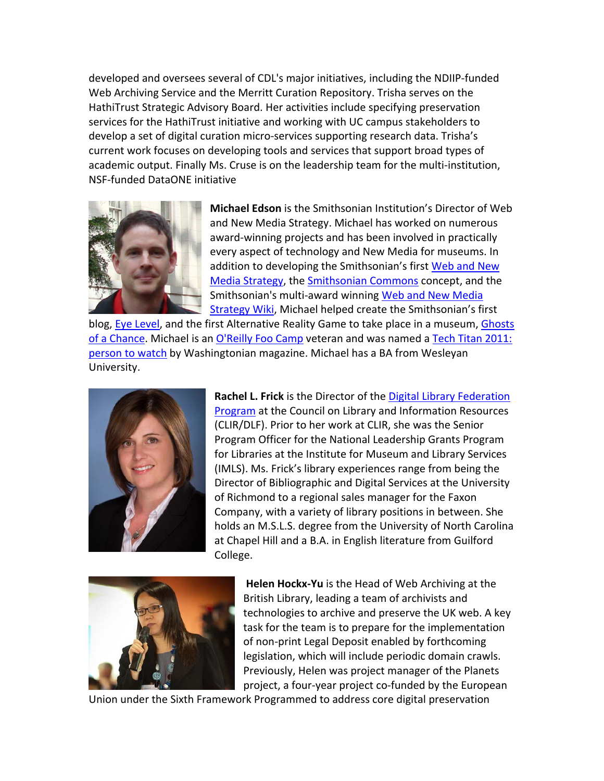developed and oversees several of CDL's major initiatives, including the NDIIP‐funded Web Archiving Service and the Merritt Curation Repository. Trisha serves on the HathiTrust Strategic Advisory Board. Her activities include specifying preservation services for the HathiTrust initiative and working with UC campus stakeholders to develop a set of digital curation micro‐services supporting research data. Trisha's current work focuses on developing tools and services that support broad types of academic output. Finally Ms. Cruse is on the leadership team for the multi-institution, NSF‐funded DataONE initiative



**Michael Edson** is the Smithsonian Institution's Director of Web and New Media Strategy. Michael has worked on numerous award‐winning projects and has been involved in practically every aspect of technology and New Media for museums. In addition to developing the Smithsonian's first [Web](http://smithsonian-webstrategy.wikispaces.com/home) and New Media [Strategy](http://smithsonian-webstrategy.wikispaces.com/home), the [Smithsonian](http://smithsonian-webstrategy.wikispaces.com/The+Smithsonian+Commons+--+A+Place+to+Begin) Commons concept, and the Smithsonian's multi‐award winning Web and New [Media](http://smithsonian-webstrategy.wikispaces.com/home) [Strategy](http://smithsonian-webstrategy.wikispaces.com/home) Wiki, Michael helped create the Smithsonian's first

blog, Eye [Level,](http://eyelevel.si.edu/) and the first Alternative Reality Game to take place in a museum, [Ghosts](http://www.ghostsofachance.com/) of a [Chance.](http://www.ghostsofachance.com/) Michael is an [O'Reilly](http://en.wikipedia.org/wiki/Foo_Camp) Foo Camp veteran and was named a Tech Titan [2011:](http://www.washingtonian.com/articles/people/19189.html) [person](http://www.washingtonian.com/articles/people/19189.html) to watch by Washingtonian magazine. Michael has a BA from Wesleyan University.



**Rachel L. Frick** is the Director of the Digital Library [Federation](http://www.diglib.org/) [Program](http://www.diglib.org/) at the Council on Library and Information Resources (CLIR/DLF). Prior to her work at CLIR, she was the Senior Program Officer for the National Leadership Grants Program for Libraries at the Institute for Museum and Library Services (IMLS). Ms. Frick's library experiences range from being the Director of Bibliographic and Digital Services at the University of Richmond to a regional sales manager for the Faxon Company, with a variety of library positions in between. She holds an M.S.L.S. degree from the University of North Carolina at Chapel Hill and a B.A. in English literature from Guilford College.



**Helen Hockx‐Yu** is the Head of Web Archiving at the British Library, leading a team of archivists and technologies to archive and preserve the UK web. A key task for the team is to prepare for the implementation of non‐print Legal Deposit enabled by forthcoming legislation, which will include periodic domain crawls. Previously, Helen was project manager of the Planets project, a four-year project co-funded by the European

Union under the Sixth Framework Programmed to address core digital preservation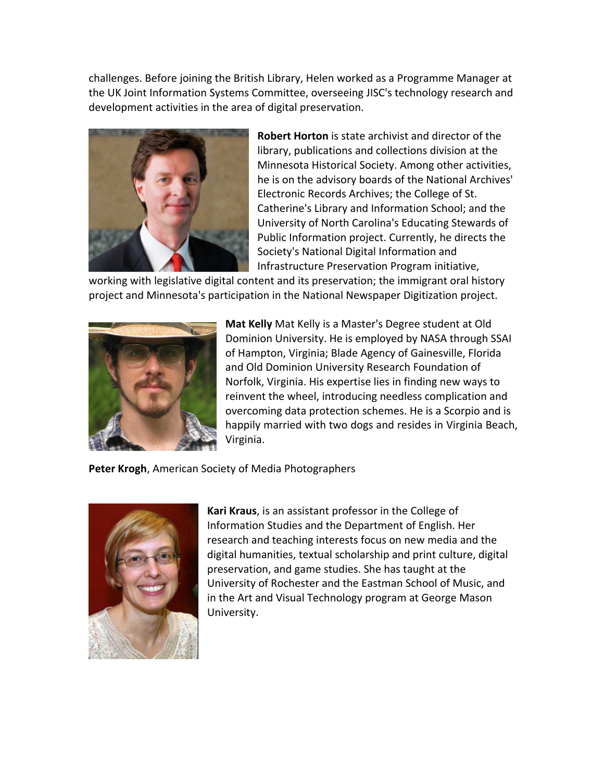challenges. Before joining the British Library, Helen worked as a Programme Manager at the UK Joint Information Systems Committee, overseeing JISC's technology research and development activities in the area of digital preservation.



**Robert Horton** is state archivist and director of the library, publications and collections division at the Minnesota Historical Society. Among other activities, he is on the advisory boards of the National Archives' Electronic Records Archives; the College of St. Catherine's Library and Information School; and the University of North Carolina's Educating Stewards of Public Information project. Currently, he directs the Society's National Digital Information and Infrastructure Preservation Program initiative,

working with legislative digital content and its preservation; the immigrant oral history project and Minnesota's participation in the National Newspaper Digitization project.



**Mat Kelly** Mat Kelly is a Master's Degree student at Old Dominion University. He is employed by NASA through SSAI of Hampton, Virginia; Blade Agency of Gainesville, Florida and Old Dominion University Research Foundation of Norfolk, Virginia. His expertise lies in finding new ways to reinvent the wheel, introducing needless complication and overcoming data protection schemes. He is a Scorpio and is happily married with two dogs and resides in Virginia Beach, Virginia.

**Peter Krogh**, American Society of Media Photographers



**Kari Kraus**, is an assistant professor in the College of Information Studies and the Department of English. Her research and teaching interests focus on new media and the digital humanities, textual scholarship and print culture, digital preservation, and game studies. She has taught at the University of Rochester and the Eastman School of Music, and in the Art and Visual Technology program at George Mason University.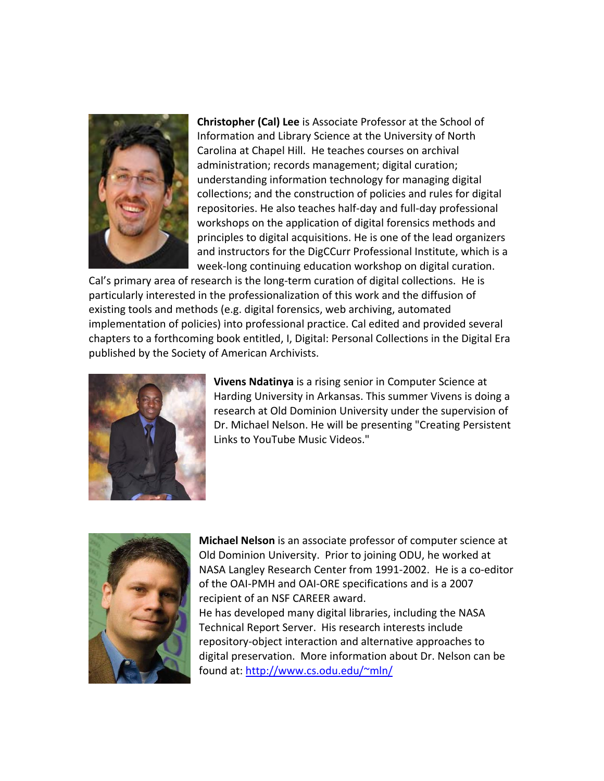

**Christopher (Cal) Lee** is Associate Professor at the School of Information and Library Science at the University of North Carolina at Chapel Hill. He teaches courses on archival administration; records management; digital curation; understanding information technology for managing digital collections; and the construction of policies and rules for digital repositories. He also teaches half‐day and full‐day professional workshops on the application of digital forensics methods and principles to digital acquisitions. He is one of the lead organizers and instructors for the DigCCurr Professional Institute, which is a week‐long continuing education workshop on digital curation.

Cal's primary area of research is the long-term curation of digital collections. He is particularly interested in the professionalization of this work and the diffusion of existing tools and methods (e.g. digital forensics, web archiving, automated implementation of policies) into professional practice. Cal edited and provided several chapters to a forthcoming book entitled, I, Digital: Personal Collections in the Digital Era published by the Society of American Archivists.



**Vivens Ndatinya** is a rising senior in Computer Science at Harding University in Arkansas. This summer Vivens is doing a research at Old Dominion University under the supervision of Dr. Michael Nelson. He will be presenting "Creating Persistent Links to YouTube Music Videos."



**Michael Nelson** is an associate professor of computer science at Old Dominion University. Prior to joining ODU, he worked at NASA Langley Research Center from 1991‐2002. He is a co‐editor of the OAI‐PMH and OAI‐ORE specifications and is a 2007 recipient of an NSF CAREER award. He has developed many digital libraries, including the NASA Technical Report Server. His research interests include repository‐object interaction and alternative approaches to digital preservation. More information about Dr. Nelson can be found at: [http://www.cs.odu.edu/~mln/](http://www.cs.odu.edu/%7Emln/)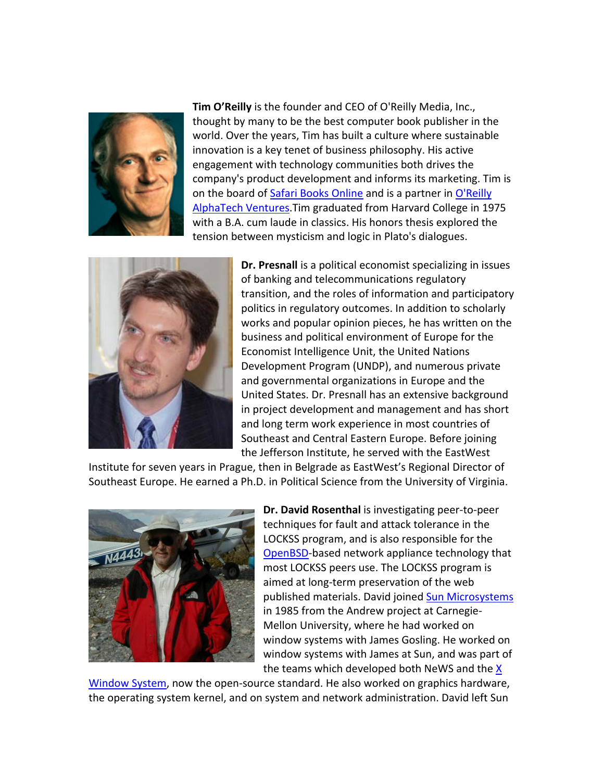

**Tim O'Reilly** is the founder and CEO of O'Reilly Media, Inc., thought by many to be the best computer book publisher in the world. Over the years, Tim has built a culture where sustainable innovation is a key tenet of business philosophy. His active engagement with technology communities both drives the company's product development and informs its marketing. Tim is on the board of Safari Books [Online](http://www.safaribooksonline.com/) and is a partner in [O'Reilly](http://oatv.com/) [AlphaTech](http://oatv.com/) Ventures.Tim graduated from Harvard College in 1975 with a B.A. cum laude in classics. His honors thesis explored the tension between mysticism and logic in Plato's dialogues.



**Dr. Presnall** is a political economist specializing in issues of banking and telecommunications regulatory transition, and the roles of information and participatory politics in regulatory outcomes. In addition to scholarly works and popular opinion pieces, he has written on the business and political environment of Europe for the Economist Intelligence Unit, the United Nations Development Program (UNDP), and numerous private and governmental organizations in Europe and the United States. Dr. Presnall has an extensive background in project development and management and has short and long term work experience in most countries of Southeast and Central Eastern Europe. Before joining the Jefferson Institute, he served with the EastWest

Institute for seven years in Prague, then in Belgrade as EastWest's Regional Director of Southeast Europe. He earned a Ph.D. in Political Science from the University of Virginia.



**Dr. David Rosenthal** is investigating peer‐to‐peer techniques for fault and attack tolerance in the LOCKSS program, and is also responsible for the [OpenBSD](http://www.openbsd.org/)‐based network appliance technology that most LOCKSS peers use. The LOCKSS program is aimed at long‐term preservation of the web published materials. David joined Sun [Microsystems](http://www.sun.com/) in 1985 from the Andrew project at Carnegie‐ Mellon University, where he had worked on window systems with James Gosling. He worked on window systems with James at Sun, and was par t of the teams which developed both NeWS and the <u>[X](http://www.x.org/)</u>

[Window](http://www.x.org/) System, now the open-source standard. He also worked on graphics hardware, the operating system kernel, and on system and network administration. David left Su n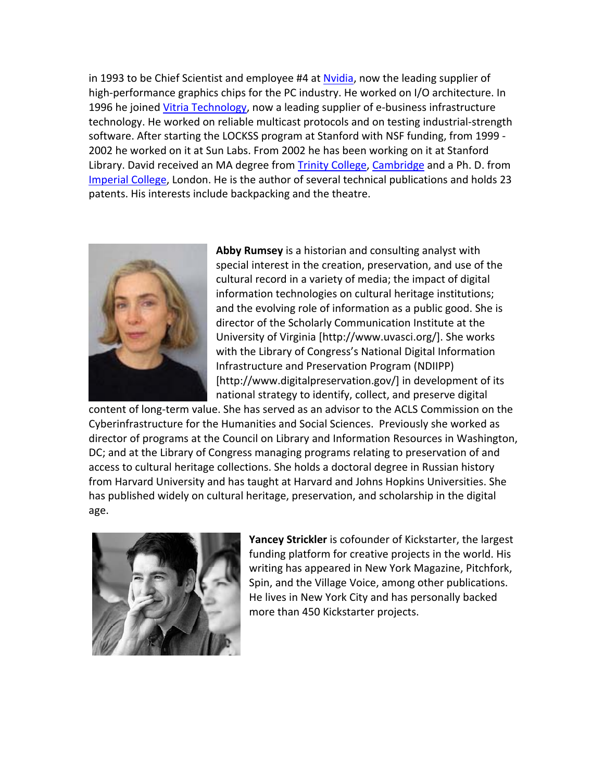in 1993 to be Chief Scientist and employee #4 at [Nvidia,](http://www.nvidia.com/) now the leading supplier of high-performance graphics chips for the PC industry. He worked on I/O architecture. In 1996 he joined Vitria [Technology](http://www.vitria.com/), now a leading supplier of e-business infrastructure technology. He worked on reliable multicast protocols and on testing industrial‐str ength software. After starting the LOCKSS program at Stanford with NSF funding, from 1999 ‐ 2002 he worked on it at Sun Labs. From 2002 he has been working on it at Stanford Library. David received an MA degree from Trinity [College,](http://www.trin.cam.ac.uk/) [Cambridge](http://www.cam.ac.uk/) and a Ph. D. from [Imperial](http://www.imperial.ac.uk/) College, London. He is the author of several technical publications and holds 23 patents. His interests include backpacking and the theatre.



and the evolving role of information as a public good. She is **Abby Rumsey** is a historian and consulting analyst with special interest in the creation, preservation, and use of the cultural record in a variety of media; the impact of digital information technologies on cultural heritage institutions; director of the Scholarly Communication Institute at the University of Virginia [http://www.uvasci.org/]. She works with the Library of Congress's National Digital Information Infrastructure and Preservation Program (NDIIPP) [http://www.digitalpreservation.gov/] in development of its national strategy to identify, collect, and preserve digital

content of long‐term value. She has served as an advisor to the ACLS Commission on the Cyberinfrastructure for the Humanities and Social Sciences. Previously she worked as director of programs at the Council on Library and Information Resources in Washington, DC; and at the Library of Congress managing programs relating to preservation of and access to cultural heritage collections. She holds a doctoral degree in Russian history from Harvard University and has taught at Harvard and Johns Hopkins Universities. She has published widely on cultural heritage, preservation, and scholarship in the digital age.



**Yancey Strickler** is cofounder of Kickstarter, the largest funding platform for creative projects in the world. His writing has appeared in New York Magazine, Pitchfork, Spin, and the Village Voice, among other publications. He lives in New York City and has personally backed more than 450 Kickstarter projects.